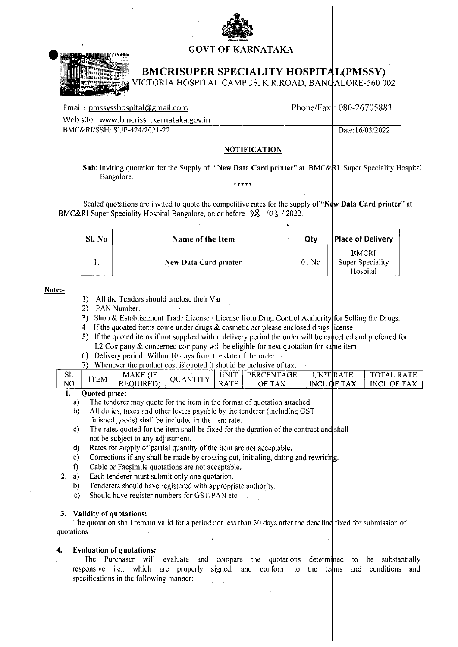

## **GOVT OF KARNATAKA**



# **BMCRISUPER SPECIALITY HOSPITAL(PMSSY)**

VICTORIA HOSPITAL CAMPUS, K.R.ROAD, BANGALORE-560 002

| Email: pmssysshospital@gmail.com        | Phone/Fax: 080-26705883 |
|-----------------------------------------|-------------------------|
| Web site: www.bmcrissh.karnataka.gov.in |                         |
| BMC&RI/SSH/SUP-424/2021-22              | Date:16/03/2022         |
|                                         |                         |

#### **NOTIFICATION**

Sub: Inviting quotation for the Supply of "New Data Card printer" at BMC&RI Super Speciality Hospital Bangalore. \*\*\*\*\*

Sealed quotations are invited to quote the competitive rates for the supply of "New Data Card printer" at BMC&RI Super Speciality Hospital Bangalore, on or before 28 / 03 / 2022.

| Sl. No | Name of the Item      | Otv     | <b>Place of Delivery</b>                     |
|--------|-----------------------|---------|----------------------------------------------|
|        | New Data Card printer | $0!$ No | <b>BMCRI</b><br>Super Speciality<br>Hospital |

#### Note:-

 $2.$ 

- 1) All the Tenders should enclose their Vat
- 2) PAN Number.
- 3) Shop & Establishment Trade License / License from Drug Control Authority for Selling the Drugs.
- 4 If the quoated items come under drugs  $&$  cosmetic act please enclosed drugs license.
- 5) If the quoted items if not supplied within delivery period the order will be cancelled and preferred for L2 Company & concerned company will be eligible for next quotation for same item.
- 6) Delivery period: Within 10 days from the date of the order.
- 7) Whenever the product cost is quoted it should be inclusive of tax.

|    | Ouoted price:- |                         |                |                   |                 |                       |                              |
|----|----------------|-------------------------|----------------|-------------------|-----------------|-----------------------|------------------------------|
| NO | ITEM           | UIRED) -<br><b>REOL</b> |                | TЕ<br><b>NAIC</b> | OF TAX          | <b>OF TAX</b><br>INCL | ТАХ<br><b>INCL</b><br>. OF " |
| ЭL |                | <b>MAKE</b><br>، ا      | ערדי<br>. A NT | .<br>UNIT         | PFRC<br>CENTAGE | UNITIRATE             | 'A<br>- <i>W</i> A *         |

- $a)$ The tenderer may quote for the item in the format of quotation attached.
- All duties, taxes and other levies payable by the tenderer (including GST  $b)$ finished goods) shall be included in the item rate.
- The rates quoted for the item shall be fixed for the duration of the contract and shall  $c$ ) not be subject to any adjustment.
- $\mathbf{d}$ Rates for supply of partial quantity of the item are not acceptable.
- Corrections if any shall be made by crossing out, initialing, dating and rewriting.  $e)$
- $\mathbf{r}$ Cable or Facsimile quotations are not acceptable.
- a) Each tenderer must submit only one quotation.
- $b)$ Tenderers should have registered with appropriate authority.
- Should have register numbers for GST/PAN etc.  $\mathbf{c}$ )

### 3. Validity of quotations:

The quotation shall remain valid for a period not less than 30 days after the deadline fixed for submission of quotations

#### **Evaluation of quotations:** 4.

The Purchaser will evaluate and compare the quotations determined to be substantially responsive i.e., which are properly signed, and conform to the terms and conditions and specifications in the following manner: